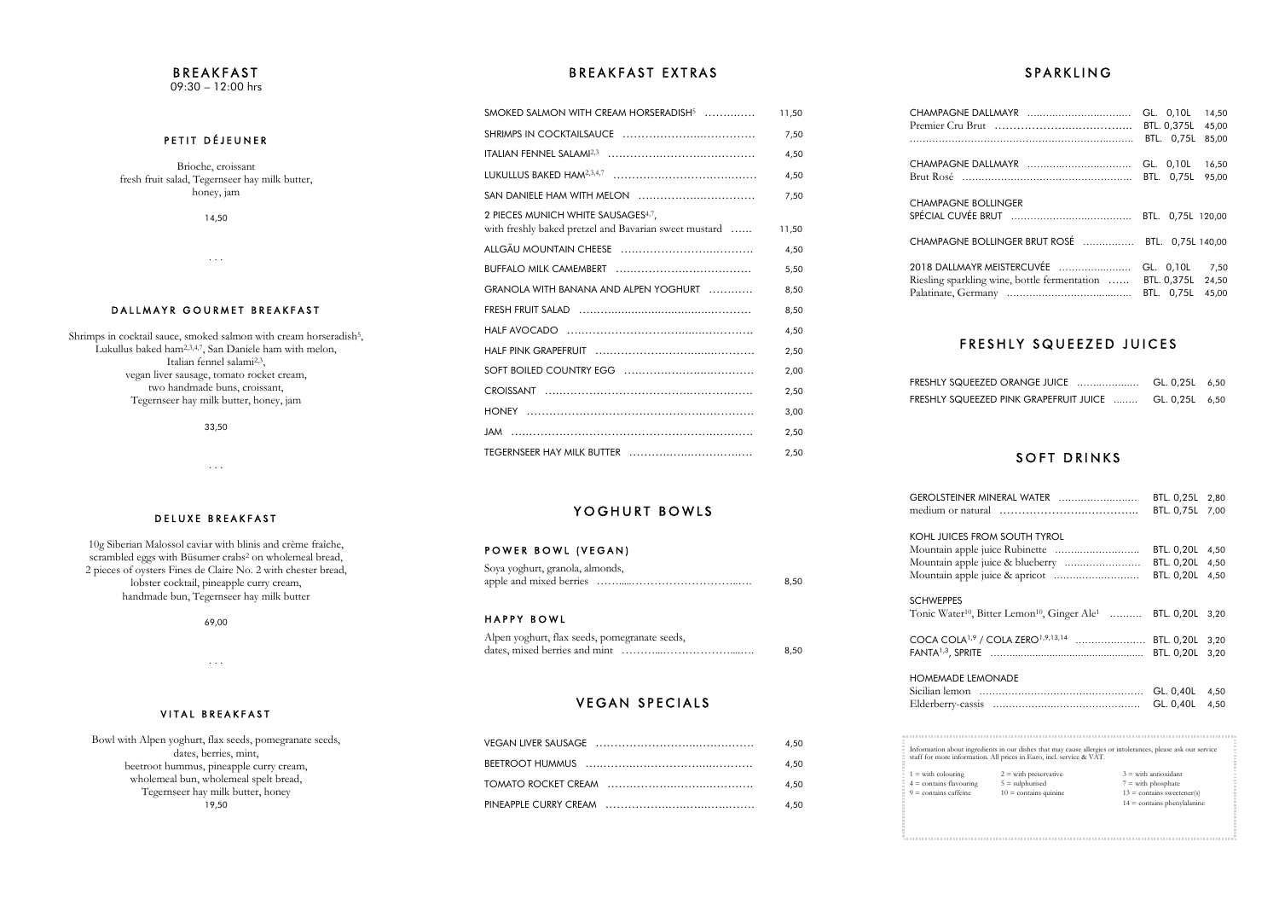**KOHL JUICES** Mountain app Mountain app Mountain appl

**SCHWEPPES** 

COCA COLA FANTA<sup>1,3</sup>, SPR

**HOMEMADE** Sicilian lemon Elderberry-ca

. . . . . . . . . . . . . . . . . . .

 $1 =$  with colouring  $4 =$  contains flavour  $9 =$  contains caffein

### **SPARKLING**

|                                                  | GL. 0,10L         | 14,50 |
|--------------------------------------------------|-------------------|-------|
|                                                  | BTL. 0,375L       | 45,00 |
|                                                  | BTL. 0.75L        | 85,00 |
|                                                  | GL. 0,10L         | 16,50 |
|                                                  | BTL. 0,75L        | 95,00 |
| <b>CHAMPAGNE BOLLINGER</b>                       | BTL. 0,75L 120,00 |       |
| CHAMPAGNE BOLLINGER BRUT ROSÉ  BTL. 0,75L 140,00 |                   |       |
| 2018 DALLMAYR MEISTERCUVÉE                       | GL. 0,10L         | 7,50  |
| Riesling sparkling wine, bottle fermentation     | BTL. 0,375L       | 24,50 |
|                                                  | BTL. 0,75L        | 45.00 |

### FRESHLY SQUEEZED JUICES

| FRESHLY SQUEEZED ORANGE JUICE  GL. 0,25L 6,50          |  |
|--------------------------------------------------------|--|
| FRESHLY SQUEEZED PINK GRAPEFRUIT JUICE  GL. 0,25L 6,50 |  |

### SOFT DRINKS

### **BREAKFAST** 09:30 – 12:00 hrs

PETIT DÉJEUNER

Shrimps in cocktail sauce, smoked salmon with cream horseradish<sup>5</sup>, Lukullus baked ham2,3,4,7, San Daniele ham with melon, Italian fennel salami2,3, vegan liver sausage, tomato rocket cream, two handmade buns, croissant, Tegernseer hay milk butter, honey, jam

| GEROLSTEINER MINERAL WATER                                                                                                                                                           |                                              |  | BTL. 0,25L                                                          | 2,80 |
|--------------------------------------------------------------------------------------------------------------------------------------------------------------------------------------|----------------------------------------------|--|---------------------------------------------------------------------|------|
|                                                                                                                                                                                      |                                              |  | BTL. 0,75L                                                          | 7,00 |
|                                                                                                                                                                                      |                                              |  |                                                                     |      |
| KOHL JUICES FROM SOUTH TYROL                                                                                                                                                         |                                              |  |                                                                     |      |
|                                                                                                                                                                                      |                                              |  | <b>BTL. 0,20L</b>                                                   | 4,50 |
|                                                                                                                                                                                      |                                              |  | <b>BTL. 0,20L</b>                                                   | 4,50 |
|                                                                                                                                                                                      |                                              |  | <b>BTL. 0,20L</b>                                                   | 4,50 |
| <b>SCHWEPPES</b>                                                                                                                                                                     |                                              |  |                                                                     |      |
| Tonic Water <sup>10</sup> , Bitter Lemon <sup>10</sup> , Ginger Ale <sup>1</sup> BTL. 0,20L                                                                                          |                                              |  |                                                                     | 3,20 |
|                                                                                                                                                                                      |                                              |  |                                                                     |      |
| COCA COLA <sup>1,9</sup> / COLA ZERO <sup>1,9,13,14</sup> BTL. 0,20L                                                                                                                 |                                              |  |                                                                     | 3,20 |
|                                                                                                                                                                                      |                                              |  | <b>BTL. 0,20L</b>                                                   | 3,20 |
|                                                                                                                                                                                      |                                              |  |                                                                     |      |
| <b>HOMEMADE LEMONADE</b>                                                                                                                                                             |                                              |  |                                                                     |      |
|                                                                                                                                                                                      |                                              |  | GL. 0,40L                                                           | 4,50 |
|                                                                                                                                                                                      |                                              |  | GL. 0,40L                                                           | 4,50 |
|                                                                                                                                                                                      |                                              |  |                                                                     |      |
|                                                                                                                                                                                      |                                              |  |                                                                     |      |
|                                                                                                                                                                                      |                                              |  |                                                                     |      |
| Information about ingredients in our dishes that may cause allergies or intolerances, please ask our service<br>staff for more information. All prices in Euro, incl. service & VAT. |                                              |  |                                                                     |      |
|                                                                                                                                                                                      |                                              |  |                                                                     |      |
| $1 =$ with colouring                                                                                                                                                                 | $2 =$ with preservative                      |  | $3$ = with antioxidant                                              |      |
| $4 =$ contains flavouring<br>$9 =$ contains caffeine                                                                                                                                 | $5 =$ sulphurised<br>$10 =$ contains quinine |  | $7 =$ with phosphate<br>$13 = \text{contains } \text{sweetener(s)}$ |      |
|                                                                                                                                                                                      |                                              |  | $14 =$ contains phenylalanine                                       |      |
|                                                                                                                                                                                      |                                              |  |                                                                     |      |
|                                                                                                                                                                                      |                                              |  |                                                                     |      |
|                                                                                                                                                                                      |                                              |  |                                                                     |      |

Brioche, croissant fresh fruit salad, Tegernseer hay milk butter, honey, jam

14,50

. . .

### DALLMAYR GOURMET BREAKFAST

33,50

. . .

### BREAKFAST EXTRAS

10g Siberian Malossol caviar with blinis and crème fraîche, scrambled eggs with Büsumer crabs<sup>2</sup> on wholemeal bread, 2 pieces of oysters Fines de Claire No. 2 with chester bread, lobster cocktail, pineapple curry cream, handmade bun, Tegernseer hay milk butter

69,00

. . .

### VITAL BREAKFAST

Bowl with Alpen yoghurt, flax seeds, pomegranate seeds, dates, berries, mint, beetroot hummus, pineapple curry cream, wholemeal bun, wholemeal spelt bread, Tegernseer hay milk butter, honey 19,50

# YOGHURT BOWLS

#### POWER BOWL (VEGAN)

| SMOKED SALMON WITH CREAM HORSERADISH <sup>5</sup>                                                        | 11,50 |
|----------------------------------------------------------------------------------------------------------|-------|
|                                                                                                          | 7,50  |
|                                                                                                          | 4,50  |
|                                                                                                          | 4,50  |
|                                                                                                          | 7,50  |
| 2 PIECES MUNICH WHITE SAUSAGES <sup>4,7</sup> ,<br>with freshly baked pretzel and Bavarian sweet mustard | 11,50 |
|                                                                                                          | 4,50  |
|                                                                                                          | 5,50  |
| GRANOLA WITH BANANA AND ALPEN YOGHURT                                                                    | 8,50  |
|                                                                                                          | 8,50  |
|                                                                                                          | 4,50  |
|                                                                                                          | 2,50  |
|                                                                                                          | 2,00  |
|                                                                                                          | 2,50  |
|                                                                                                          | 3,00  |
|                                                                                                          | 2,50  |
|                                                                                                          | 2,50  |

## D E L U X E BREAK FAST

| Soya yoghurt, granola, almonds, |      |  |
|---------------------------------|------|--|
|                                 | 8.50 |  |

#### HAPPY BOWL

| Alpen yoghurt, flax seeds, pomegranate seeds, |      |
|-----------------------------------------------|------|
|                                               | 8.50 |

## **VEGAN SPECIALS**

| 4.50 |
|------|
| 4.50 |
| 4.50 |
| 4.50 |

**GEROLSTEINE** medium or na